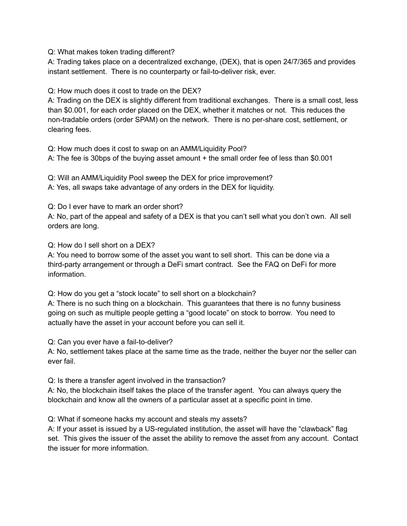Q: What makes token trading different?

A: Trading takes place on a decentralized exchange, (DEX), that is open 24/7/365 and provides instant settlement. There is no counterparty or fail-to-deliver risk, ever.

Q: How much does it cost to trade on the DEX?

A: Trading on the DEX is slightly different from traditional exchanges. There is a small cost, less than \$0.001, for each order placed on the DEX, whether it matches or not. This reduces the non-tradable orders (order SPAM) on the network. There is no per-share cost, settlement, or clearing fees.

Q: How much does it cost to swap on an AMM/Liquidity Pool?

A: The fee is 30bps of the buying asset amount + the small order fee of less than \$0.001

Q: Will an AMM/Liquidity Pool sweep the DEX for price improvement? A: Yes, all swaps take advantage of any orders in the DEX for liquidity.

Q: Do I ever have to mark an order short?

A: No, part of the appeal and safety of a DEX is that you can't sell what you don't own. All sell orders are long.

Q: How do I sell short on a DEX?

A: You need to borrow some of the asset you want to sell short. This can be done via a third-party arrangement or through a DeFi smart contract. See the FAQ on DeFi for more information.

Q: How do you get a "stock locate" to sell short on a blockchain?

A: There is no such thing on a blockchain. This guarantees that there is no funny business going on such as multiple people getting a "good locate" on stock to borrow. You need to actually have the asset in your account before you can sell it.

Q: Can you ever have a fail-to-deliver?

A: No, settlement takes place at the same time as the trade, neither the buyer nor the seller can ever fail.

Q: Is there a transfer agent involved in the transaction?

A: No, the blockchain itself takes the place of the transfer agent. You can always query the blockchain and know all the owners of a particular asset at a specific point in time.

Q: What if someone hacks my account and steals my assets?

A: If your asset is issued by a US-regulated institution, the asset will have the "clawback" flag set. This gives the issuer of the asset the ability to remove the asset from any account. Contact the issuer for more information.